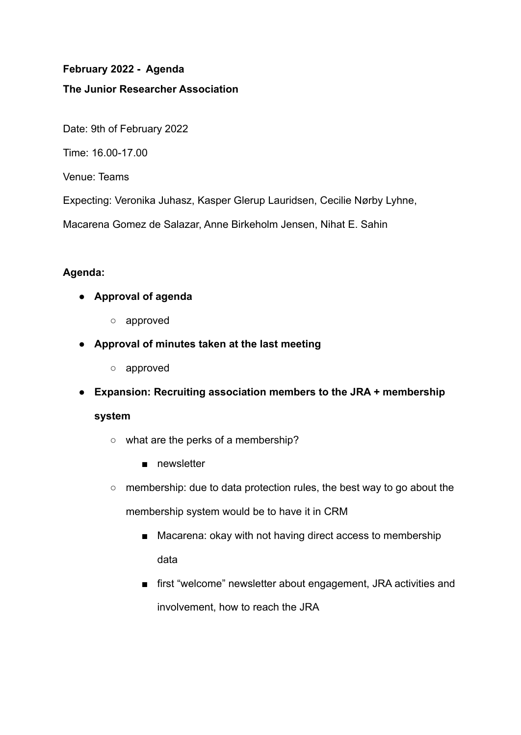# **February 2022 - Agenda**

### **The Junior Researcher Association**

Date: 9th of February 2022

Time: 16.00-17.00

Venue: Teams

Expecting: Veronika Juhasz, Kasper Glerup Lauridsen, Cecilie Nørby Lyhne,

Macarena Gomez de Salazar, Anne Birkeholm Jensen, Nihat E. Sahin

### **Agenda:**

- **● Approval of agenda**
	- **○** approved
- **● Approval of minutes taken at the last meeting**
	- **○** approved
- **● Expansion: Recruiting association members to the JRA + membership**

#### **system**

- what are the perks of a membership?
	- newsletter
- membership: due to data protection rules, the best way to go about the membership system would be to have it in CRM
	- Macarena: okay with not having direct access to membership data
	- first "welcome" newsletter about engagement, JRA activities and involvement, how to reach the JRA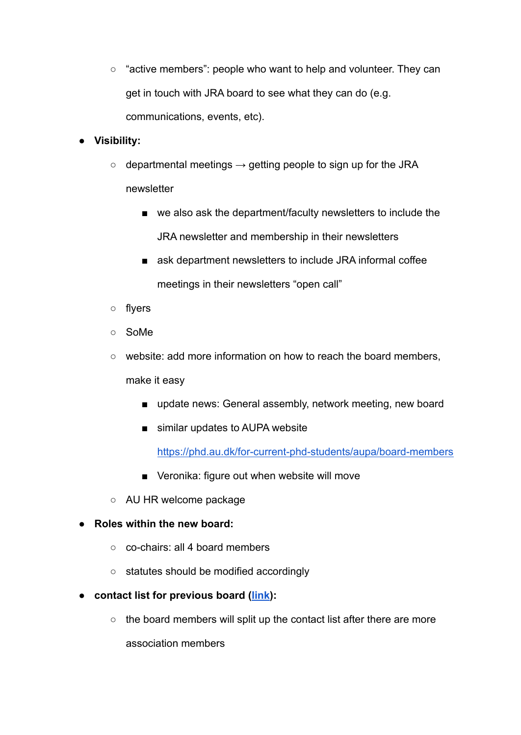○ "active members": people who want to help and volunteer. They can get in touch with JRA board to see what they can do (e.g. communications, events, etc).

# **● Visibility:**

- $\circ$  departmental meetings  $\rightarrow$  getting people to sign up for the JRA newsletter
	- we also ask the department/faculty newsletters to include the JRA newsletter and membership in their newsletters
	- ask department newsletters to include JRA informal coffee meetings in their newsletters "open call"
- flyers
- SoMe
- website: add more information on how to reach the board members,

make it easy

- update news: General assembly, network meeting, new board
- similar updates to AUPA website

<https://phd.au.dk/for-current-phd-students/aupa/board-members>

- Veronika: figure out when website will move
- AU HR welcome package

# ● **Roles within the new board:**

- co-chairs: all 4 board members
- statutes should be modified accordingly
- **● contact list for previous board ([link\)](https://docs.google.com/spreadsheets/d/1eqPF_03nPu9wkBMQIuirP5Ewy3CFGmpnVk96a6eya3I/edit#gid=1456019698):**
	- the board members will split up the contact list after there are more

association members